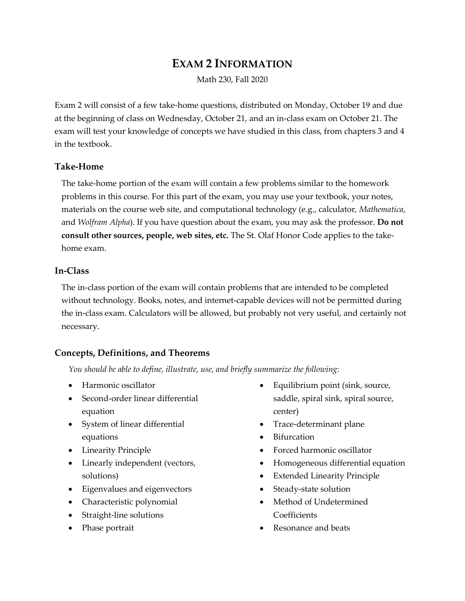# **EXAM 2 INFORMATION**

Math 230, Fall 2020

Exam 2 will consist of a few take-home questions, distributed on Monday, October 19 and due at the beginning of class on Wednesday, October 21, and an in-class exam on October 21. The exam will test your knowledge of concepts we have studied in this class, from chapters 3 and 4 in the textbook.

#### **Take-Home**

The take-home portion of the exam will contain a few problems similar to the homework problems in this course. For this part of the exam, you may use your textbook, your notes, materials on the course web site, and computational technology (e.g., calculator, *Mathematica*, and *Wolfram Alpha*). If you have question about the exam, you may ask the professor. **Do not consult other sources, people, web sites, etc.** The St. Olaf Honor Code applies to the takehome exam.

### **In-Class**

The in-class portion of the exam will contain problems that are intended to be completed without technology. Books, notes, and internet-capable devices will not be permitted during the in-class exam. Calculators will be allowed, but probably not very useful, and certainly not necessary.

### **Concepts, Definitions, and Theorems**

*You should be able to define, illustrate, use, and briefly summarize the following:*

- Harmonic oscillator
- Second-order linear differential equation
- System of linear differential equations
- Linearity Principle
- Linearly independent (vectors, solutions)
- Eigenvalues and eigenvectors
- Characteristic polynomial
- Straight-line solutions
- Phase portrait
- Equilibrium point (sink, source, saddle, spiral sink, spiral source, center)
- Trace-determinant plane
- Bifurcation
- Forced harmonic oscillator
- Homogeneous differential equation
- Extended Linearity Principle
- Steady-state solution
- Method of Undetermined **Coefficients**
- Resonance and beats